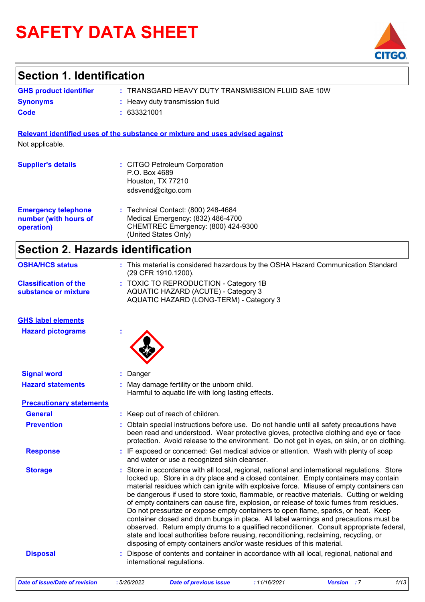# **SAFETY DATA SHEET**



### **Section 1. Identification**

| <b>GHS product identifier</b> | : TRANSGARD HEAVY DUTY TRANSMISSION FLUID SAE 10W |
|-------------------------------|---------------------------------------------------|
| <b>Synonyms</b>               | : Heavy duty transmission fluid                   |
| Code                          | : 633321001                                       |

**Relevant identified uses of the substance or mixture and uses advised against**

Not applicable.

| <b>Supplier's details</b>                                         | : CITGO Petroleum Corporation<br>P.O. Box 4689<br>Houston, TX 77210<br>sdsvend@citgo.com                                               |
|-------------------------------------------------------------------|----------------------------------------------------------------------------------------------------------------------------------------|
| <b>Emergency telephone</b><br>number (with hours of<br>operation) | : Technical Contact: (800) 248-4684<br>Medical Emergency: (832) 486-4700<br>CHEMTREC Emergency: (800) 424-9300<br>(United States Only) |

## **Section 2. Hazards identification**

| <b>OSHA/HCS status</b>                               | : This material is considered hazardous by the OSHA Hazard Communication Standard<br>(29 CFR 1910.1200).                                                                                                                                                                                                                                                                                                                                                                                                                                                                                                                                                                                                                                                                                                                                                                                                           |
|------------------------------------------------------|--------------------------------------------------------------------------------------------------------------------------------------------------------------------------------------------------------------------------------------------------------------------------------------------------------------------------------------------------------------------------------------------------------------------------------------------------------------------------------------------------------------------------------------------------------------------------------------------------------------------------------------------------------------------------------------------------------------------------------------------------------------------------------------------------------------------------------------------------------------------------------------------------------------------|
| <b>Classification of the</b><br>substance or mixture | : TOXIC TO REPRODUCTION - Category 1B<br>AQUATIC HAZARD (ACUTE) - Category 3<br>AQUATIC HAZARD (LONG-TERM) - Category 3                                                                                                                                                                                                                                                                                                                                                                                                                                                                                                                                                                                                                                                                                                                                                                                            |
| <b>GHS label elements</b>                            |                                                                                                                                                                                                                                                                                                                                                                                                                                                                                                                                                                                                                                                                                                                                                                                                                                                                                                                    |
| <b>Hazard pictograms</b>                             |                                                                                                                                                                                                                                                                                                                                                                                                                                                                                                                                                                                                                                                                                                                                                                                                                                                                                                                    |
| <b>Signal word</b>                                   | : Danger                                                                                                                                                                                                                                                                                                                                                                                                                                                                                                                                                                                                                                                                                                                                                                                                                                                                                                           |
| <b>Hazard statements</b>                             | : May damage fertility or the unborn child.<br>Harmful to aquatic life with long lasting effects.                                                                                                                                                                                                                                                                                                                                                                                                                                                                                                                                                                                                                                                                                                                                                                                                                  |
| <b>Precautionary statements</b>                      |                                                                                                                                                                                                                                                                                                                                                                                                                                                                                                                                                                                                                                                                                                                                                                                                                                                                                                                    |
| <b>General</b>                                       | : Keep out of reach of children.                                                                                                                                                                                                                                                                                                                                                                                                                                                                                                                                                                                                                                                                                                                                                                                                                                                                                   |
| <b>Prevention</b>                                    | : Obtain special instructions before use. Do not handle until all safety precautions have<br>been read and understood. Wear protective gloves, protective clothing and eye or face<br>protection. Avoid release to the environment. Do not get in eyes, on skin, or on clothing.                                                                                                                                                                                                                                                                                                                                                                                                                                                                                                                                                                                                                                   |
| <b>Response</b>                                      | : IF exposed or concerned: Get medical advice or attention. Wash with plenty of soap<br>and water or use a recognized skin cleanser.                                                                                                                                                                                                                                                                                                                                                                                                                                                                                                                                                                                                                                                                                                                                                                               |
| <b>Storage</b>                                       | : Store in accordance with all local, regional, national and international regulations. Store<br>locked up. Store in a dry place and a closed container. Empty containers may contain<br>material residues which can ignite with explosive force. Misuse of empty containers can<br>be dangerous if used to store toxic, flammable, or reactive materials. Cutting or welding<br>of empty containers can cause fire, explosion, or release of toxic fumes from residues.<br>Do not pressurize or expose empty containers to open flame, sparks, or heat. Keep<br>container closed and drum bungs in place. All label warnings and precautions must be<br>observed. Return empty drums to a qualified reconditioner. Consult appropriate federal,<br>state and local authorities before reusing, reconditioning, reclaiming, recycling, or<br>disposing of empty containers and/or waste residues of this material. |
| <b>Disposal</b>                                      | Dispose of contents and container in accordance with all local, regional, national and<br>international regulations.                                                                                                                                                                                                                                                                                                                                                                                                                                                                                                                                                                                                                                                                                                                                                                                               |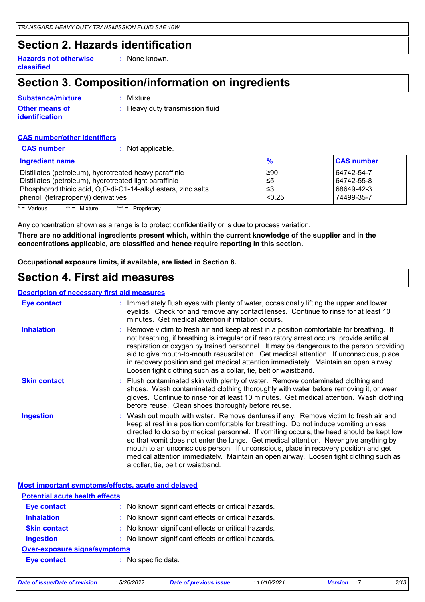### **Section 2. Hazards identification**

**Hazards not otherwise classified :** None known.

## **Section 3. Composition/information on ingredients**

| <b>Substance/mixture</b>                       | : Mixture                       |
|------------------------------------------------|---------------------------------|
| <b>Other means of</b><br><b>identification</b> | : Heavy duty transmission fluid |

#### **CAS number/other identifiers**

| <b>CAS number</b><br>: Not applicable.                        |                 |                   |
|---------------------------------------------------------------|-----------------|-------------------|
| <b>Ingredient name</b>                                        | $\frac{9}{6}$   | <b>CAS number</b> |
| Distillates (petroleum), hydrotreated heavy paraffinic        | ≥90             | 64742-54-7        |
| Distillates (petroleum), hydrotreated light paraffinic        | ו≥ا             | 64742-55-8        |
| Phosphorodithioic acid, O,O-di-C1-14-alkyl esters, zinc salts | l≤3             | 68649-42-3        |
| phenol, (tetrapropenyl) derivatives                           | <sub>0.25</sub> | 74499-35-7        |
| $=$ Various<br>$** =$ Mixture<br>$*** =$ Proprietary          |                 |                   |

Mixture \*\*\* = Proprietary

Any concentration shown as a range is to protect confidentiality or is due to process variation.

**There are no additional ingredients present which, within the current knowledge of the supplier and in the concentrations applicable, are classified and hence require reporting in this section.**

**Occupational exposure limits, if available, are listed in Section 8.**

### **Section 4. First aid measures**

### **Description of necessary first aid measures**

| <u>senpresn of hoodscar pintor and modeln's</u> |                                                                                                                                                                                                                                                                                                                                                                                                                                                                                                                                                                                    |
|-------------------------------------------------|------------------------------------------------------------------------------------------------------------------------------------------------------------------------------------------------------------------------------------------------------------------------------------------------------------------------------------------------------------------------------------------------------------------------------------------------------------------------------------------------------------------------------------------------------------------------------------|
| <b>Eye contact</b>                              | : Immediately flush eyes with plenty of water, occasionally lifting the upper and lower<br>eyelids. Check for and remove any contact lenses. Continue to rinse for at least 10<br>minutes. Get medical attention if irritation occurs.                                                                                                                                                                                                                                                                                                                                             |
| <b>Inhalation</b>                               | : Remove victim to fresh air and keep at rest in a position comfortable for breathing. If<br>not breathing, if breathing is irregular or if respiratory arrest occurs, provide artificial<br>respiration or oxygen by trained personnel. It may be dangerous to the person providing<br>aid to give mouth-to-mouth resuscitation. Get medical attention. If unconscious, place<br>in recovery position and get medical attention immediately. Maintain an open airway.<br>Loosen tight clothing such as a collar, tie, belt or waistband.                                          |
| <b>Skin contact</b>                             | : Flush contaminated skin with plenty of water. Remove contaminated clothing and<br>shoes. Wash contaminated clothing thoroughly with water before removing it, or wear<br>gloves. Continue to rinse for at least 10 minutes. Get medical attention. Wash clothing<br>before reuse. Clean shoes thoroughly before reuse.                                                                                                                                                                                                                                                           |
| <b>Ingestion</b>                                | : Wash out mouth with water. Remove dentures if any. Remove victim to fresh air and<br>keep at rest in a position comfortable for breathing. Do not induce vomiting unless<br>directed to do so by medical personnel. If vomiting occurs, the head should be kept low<br>so that vomit does not enter the lungs. Get medical attention. Never give anything by<br>mouth to an unconscious person. If unconscious, place in recovery position and get<br>medical attention immediately. Maintain an open airway. Loosen tight clothing such as<br>a collar, tie, belt or waistband. |

**Most important symptoms/effects, acute and delayed**

| <b>Potential acute health effects</b> |                                                     |  |
|---------------------------------------|-----------------------------------------------------|--|
| <b>Eye contact</b>                    | : No known significant effects or critical hazards. |  |
| <b>Inhalation</b>                     | : No known significant effects or critical hazards. |  |
| <b>Skin contact</b>                   | : No known significant effects or critical hazards. |  |
| <b>Ingestion</b>                      | : No known significant effects or critical hazards. |  |
| <b>Over-exposure signs/symptoms</b>   |                                                     |  |
| <b>Eye contact</b>                    | : No specific data.                                 |  |

*Date of issue/Date of revision* **:** *5/26/2022 Date of previous issue : 11/16/2021 Version : 7 2/13*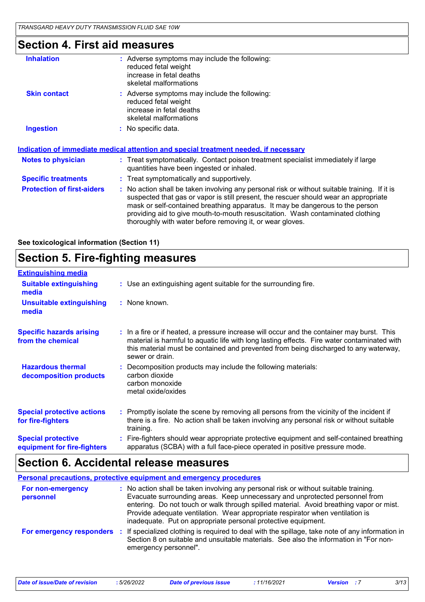### **Section 4. First aid measures**

| <b>Inhalation</b>                 | $:$ Adverse symptoms may include the following:<br>reduced fetal weight<br>increase in fetal deaths<br>skeletal malformations                                                                                                                                                                                                                                                                                         |
|-----------------------------------|-----------------------------------------------------------------------------------------------------------------------------------------------------------------------------------------------------------------------------------------------------------------------------------------------------------------------------------------------------------------------------------------------------------------------|
| <b>Skin contact</b>               | : Adverse symptoms may include the following:<br>reduced fetal weight<br>increase in fetal deaths<br>skeletal malformations                                                                                                                                                                                                                                                                                           |
| <b>Ingestion</b>                  | : No specific data.                                                                                                                                                                                                                                                                                                                                                                                                   |
|                                   | <u>Indication of immediate medical attention and special treatment needed, if necessary</u>                                                                                                                                                                                                                                                                                                                           |
| <b>Notes to physician</b>         | : Treat symptomatically. Contact poison treatment specialist immediately if large<br>quantities have been ingested or inhaled.                                                                                                                                                                                                                                                                                        |
| <b>Specific treatments</b>        | : Treat symptomatically and supportively.                                                                                                                                                                                                                                                                                                                                                                             |
| <b>Protection of first-aiders</b> | : No action shall be taken involving any personal risk or without suitable training. If it is<br>suspected that gas or vapor is still present, the rescuer should wear an appropriate<br>mask or self-contained breathing apparatus. It may be dangerous to the person<br>providing aid to give mouth-to-mouth resuscitation. Wash contaminated clothing<br>thoroughly with water before removing it, or wear gloves. |
|                                   |                                                                                                                                                                                                                                                                                                                                                                                                                       |

**See toxicological information (Section 11)**

### **Section 5. Fire-fighting measures**

| <b>Extinguishing media</b>                               |                                                                                                                                                                                                                                                                                                      |
|----------------------------------------------------------|------------------------------------------------------------------------------------------------------------------------------------------------------------------------------------------------------------------------------------------------------------------------------------------------------|
| <b>Suitable extinguishing</b><br>media                   | : Use an extinguishing agent suitable for the surrounding fire.                                                                                                                                                                                                                                      |
| <b>Unsuitable extinguishing</b><br>media                 | : None known.                                                                                                                                                                                                                                                                                        |
| <b>Specific hazards arising</b><br>from the chemical     | : In a fire or if heated, a pressure increase will occur and the container may burst. This<br>material is harmful to aquatic life with long lasting effects. Fire water contaminated with<br>this material must be contained and prevented from being discharged to any waterway,<br>sewer or drain. |
| <b>Hazardous thermal</b><br>decomposition products       | Decomposition products may include the following materials:<br>carbon dioxide<br>carbon monoxide<br>metal oxide/oxides                                                                                                                                                                               |
| <b>Special protective actions</b><br>for fire-fighters   | : Promptly isolate the scene by removing all persons from the vicinity of the incident if<br>there is a fire. No action shall be taken involving any personal risk or without suitable<br>training.                                                                                                  |
| <b>Special protective</b><br>equipment for fire-fighters | Fire-fighters should wear appropriate protective equipment and self-contained breathing<br>apparatus (SCBA) with a full face-piece operated in positive pressure mode.                                                                                                                               |

### **Section 6. Accidental release measures**

|                                | Personal precautions, protective equipment and emergency procedures                                                                                                                                                                                                                                                                                                                                              |
|--------------------------------|------------------------------------------------------------------------------------------------------------------------------------------------------------------------------------------------------------------------------------------------------------------------------------------------------------------------------------------------------------------------------------------------------------------|
| For non-emergency<br>personnel | : No action shall be taken involving any personal risk or without suitable training.<br>Evacuate surrounding areas. Keep unnecessary and unprotected personnel from<br>entering. Do not touch or walk through spilled material. Avoid breathing vapor or mist.<br>Provide adequate ventilation. Wear appropriate respirator when ventilation is<br>inadequate. Put on appropriate personal protective equipment. |
| For emergency responders       | : If specialized clothing is required to deal with the spillage, take note of any information in<br>Section 8 on suitable and unsuitable materials. See also the information in "For non-<br>emergency personnel".                                                                                                                                                                                               |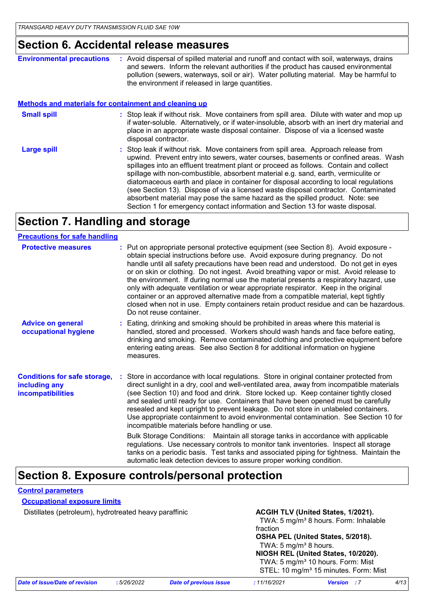### **Section 6. Accidental release measures**

| <b>Environmental precautions</b> | : Avoid dispersal of spilled material and runoff and contact with soil, waterways, drains<br>and sewers. Inform the relevant authorities if the product has caused environmental |
|----------------------------------|----------------------------------------------------------------------------------------------------------------------------------------------------------------------------------|
|                                  | pollution (sewers, waterways, soil or air). Water polluting material. May be harmful to<br>the environment if released in large quantities.                                      |

#### **Methods and materials for containment and cleaning up**

| <b>Small spill</b> | : Stop leak if without risk. Move containers from spill area. Dilute with water and mop up<br>if water-soluble. Alternatively, or if water-insoluble, absorb with an inert dry material and<br>place in an appropriate waste disposal container. Dispose of via a licensed waste<br>disposal contractor.                                                                                                                                                                                                                                                                                                                                                                                                     |
|--------------------|--------------------------------------------------------------------------------------------------------------------------------------------------------------------------------------------------------------------------------------------------------------------------------------------------------------------------------------------------------------------------------------------------------------------------------------------------------------------------------------------------------------------------------------------------------------------------------------------------------------------------------------------------------------------------------------------------------------|
| <b>Large spill</b> | : Stop leak if without risk. Move containers from spill area. Approach release from<br>upwind. Prevent entry into sewers, water courses, basements or confined areas. Wash<br>spillages into an effluent treatment plant or proceed as follows. Contain and collect<br>spillage with non-combustible, absorbent material e.g. sand, earth, vermiculite or<br>diatomaceous earth and place in container for disposal according to local regulations<br>(see Section 13). Dispose of via a licensed waste disposal contractor. Contaminated<br>absorbent material may pose the same hazard as the spilled product. Note: see<br>Section 1 for emergency contact information and Section 13 for waste disposal. |

### **Section 7. Handling and storage**

| <b>Precautions for safe handling</b>                                             |                                                                                                                                                                                                                                                                                                                                                                                                                                                                                                                                                                                                                                                                                                                                                                                                                                                                                                                                                   |
|----------------------------------------------------------------------------------|---------------------------------------------------------------------------------------------------------------------------------------------------------------------------------------------------------------------------------------------------------------------------------------------------------------------------------------------------------------------------------------------------------------------------------------------------------------------------------------------------------------------------------------------------------------------------------------------------------------------------------------------------------------------------------------------------------------------------------------------------------------------------------------------------------------------------------------------------------------------------------------------------------------------------------------------------|
| <b>Protective measures</b>                                                       | : Put on appropriate personal protective equipment (see Section 8). Avoid exposure -<br>obtain special instructions before use. Avoid exposure during pregnancy. Do not<br>handle until all safety precautions have been read and understood. Do not get in eyes<br>or on skin or clothing. Do not ingest. Avoid breathing vapor or mist. Avoid release to<br>the environment. If during normal use the material presents a respiratory hazard, use<br>only with adequate ventilation or wear appropriate respirator. Keep in the original<br>container or an approved alternative made from a compatible material, kept tightly<br>closed when not in use. Empty containers retain product residue and can be hazardous.<br>Do not reuse container.                                                                                                                                                                                              |
| <b>Advice on general</b><br>occupational hygiene                                 | : Eating, drinking and smoking should be prohibited in areas where this material is<br>handled, stored and processed. Workers should wash hands and face before eating,<br>drinking and smoking. Remove contaminated clothing and protective equipment before<br>entering eating areas. See also Section 8 for additional information on hygiene<br>measures.                                                                                                                                                                                                                                                                                                                                                                                                                                                                                                                                                                                     |
| <b>Conditions for safe storage,</b><br>including any<br><b>incompatibilities</b> | Store in accordance with local regulations. Store in original container protected from<br>direct sunlight in a dry, cool and well-ventilated area, away from incompatible materials<br>(see Section 10) and food and drink. Store locked up. Keep container tightly closed<br>and sealed until ready for use. Containers that have been opened must be carefully<br>resealed and kept upright to prevent leakage. Do not store in unlabeled containers.<br>Use appropriate containment to avoid environmental contamination. See Section 10 for<br>incompatible materials before handling or use.<br>Bulk Storage Conditions: Maintain all storage tanks in accordance with applicable<br>regulations. Use necessary controls to monitor tank inventories. Inspect all storage<br>tanks on a periodic basis. Test tanks and associated piping for tightness. Maintain the<br>automatic leak detection devices to assure proper working condition. |

### **Section 8. Exposure controls/personal protection**

#### **Control parameters**

#### **Occupational exposure limits**

Distillates (petroleum), hydrotreated heavy paraffinic **ACGIH TLV (United States, 1/2021).** 

TWA: 5 mg/m<sup>3</sup> 8 hours. Form: Inhalable fraction **OSHA PEL (United States, 5/2018).**

#### TWA:  $5 \text{ mg/m}^3$  8 hours. **NIOSH REL (United States, 10/2020).** TWA: 5 mg/m<sup>3</sup> 10 hours. Form: Mist

STEL: 10 mg/m<sup>3</sup> 15 minutes. Form: Mist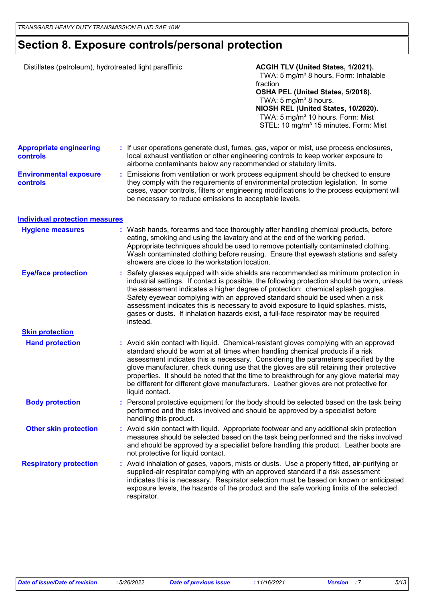### **Section 8. Exposure controls/personal protection**

| Distillates (petroleum), hydrotreated light paraffinic |  |                                                                                                                                | ACGIH TLV (United States, 1/2021).<br>TWA: 5 mg/m <sup>3</sup> 8 hours. Form: Inhalable<br>fraction<br>OSHA PEL (United States, 5/2018).<br>TWA: 5 mg/m <sup>3</sup> 8 hours.<br>NIOSH REL (United States, 10/2020).<br>TWA: 5 mg/m <sup>3</sup> 10 hours. Form: Mist<br>STEL: 10 mg/m <sup>3</sup> 15 minutes. Form: Mist                                                                                                                                                                                                                       |
|--------------------------------------------------------|--|--------------------------------------------------------------------------------------------------------------------------------|--------------------------------------------------------------------------------------------------------------------------------------------------------------------------------------------------------------------------------------------------------------------------------------------------------------------------------------------------------------------------------------------------------------------------------------------------------------------------------------------------------------------------------------------------|
| <b>Appropriate engineering</b><br>controls             |  | airborne contaminants below any recommended or statutory limits.                                                               | : If user operations generate dust, fumes, gas, vapor or mist, use process enclosures,<br>local exhaust ventilation or other engineering controls to keep worker exposure to                                                                                                                                                                                                                                                                                                                                                                     |
| <b>Environmental exposure</b><br>controls              |  | be necessary to reduce emissions to acceptable levels.                                                                         | : Emissions from ventilation or work process equipment should be checked to ensure<br>they comply with the requirements of environmental protection legislation. In some<br>cases, vapor controls, filters or engineering modifications to the process equipment will                                                                                                                                                                                                                                                                            |
| <b>Individual protection measures</b>                  |  |                                                                                                                                |                                                                                                                                                                                                                                                                                                                                                                                                                                                                                                                                                  |
| <b>Hygiene measures</b>                                |  | eating, smoking and using the lavatory and at the end of the working period.<br>showers are close to the workstation location. | : Wash hands, forearms and face thoroughly after handling chemical products, before<br>Appropriate techniques should be used to remove potentially contaminated clothing.<br>Wash contaminated clothing before reusing. Ensure that eyewash stations and safety                                                                                                                                                                                                                                                                                  |
| <b>Eye/face protection</b>                             |  | instead.                                                                                                                       | : Safety glasses equipped with side shields are recommended as minimum protection in<br>industrial settings. If contact is possible, the following protection should be worn, unless<br>the assessment indicates a higher degree of protection: chemical splash goggles.<br>Safety eyewear complying with an approved standard should be used when a risk<br>assessment indicates this is necessary to avoid exposure to liquid splashes, mists,<br>gases or dusts. If inhalation hazards exist, a full-face respirator may be required          |
| <b>Skin protection</b>                                 |  |                                                                                                                                |                                                                                                                                                                                                                                                                                                                                                                                                                                                                                                                                                  |
| <b>Hand protection</b>                                 |  | liquid contact.                                                                                                                | : Avoid skin contact with liquid. Chemical-resistant gloves complying with an approved<br>standard should be worn at all times when handling chemical products if a risk<br>assessment indicates this is necessary. Considering the parameters specified by the<br>glove manufacturer, check during use that the gloves are still retaining their protective<br>properties. It should be noted that the time to breakthrough for any glove material may<br>be different for different glove manufacturers. Leather gloves are not protective for |
| <b>Body protection</b>                                 |  | handling this product.                                                                                                         | : Personal protective equipment for the body should be selected based on the task being<br>performed and the risks involved and should be approved by a specialist before                                                                                                                                                                                                                                                                                                                                                                        |
| <b>Other skin protection</b>                           |  | not protective for liquid contact.                                                                                             | : Avoid skin contact with liquid. Appropriate footwear and any additional skin protection<br>measures should be selected based on the task being performed and the risks involved<br>and should be approved by a specialist before handling this product. Leather boots are                                                                                                                                                                                                                                                                      |
| <b>Respiratory protection</b>                          |  | respirator.                                                                                                                    | : Avoid inhalation of gases, vapors, mists or dusts. Use a properly fitted, air-purifying or<br>supplied-air respirator complying with an approved standard if a risk assessment<br>indicates this is necessary. Respirator selection must be based on known or anticipated<br>exposure levels, the hazards of the product and the safe working limits of the selected                                                                                                                                                                           |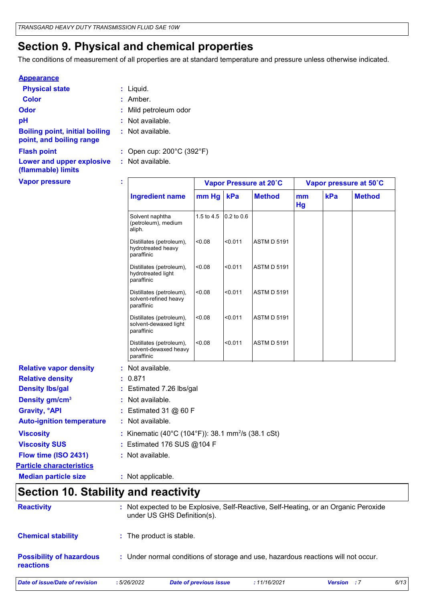### **Section 9. Physical and chemical properties**

The conditions of measurement of all properties are at standard temperature and pressure unless otherwise indicated.

#### **Appearance**

| <b>Physical state</b>          | $:$ Liquid.           |
|--------------------------------|-----------------------|
| Color                          | : Amber.              |
| <b>Odor</b>                    | : Mild petroleum odor |
| рH                             | : Not available.      |
| Dalliam and at initial halling | لملما والمربط فملطات  |

- Liquid. **:**
- -
- **:** Not available.
- **Boiling point, initial boiling point, and boiling range**
- 

**(flammable) limits**

- **:** Not available.
- **Flash point :** Open cup: 200°C (392°F)
- **Lower and upper explosive :** Not available.

| <b>Vapor pressure</b>           | t |                                                                 | Vapor Pressure at 20°C |            |                    | Vapor pressure at 50°C |     |               |
|---------------------------------|---|-----------------------------------------------------------------|------------------------|------------|--------------------|------------------------|-----|---------------|
|                                 |   | <b>Ingredient name</b>                                          | mm Hg<br>kPa           |            | <b>Method</b>      | mm<br>Hg               | kPa | <b>Method</b> |
|                                 |   | Solvent naphtha<br>(petroleum), medium<br>aliph.                | 1.5 to 4.5             | 0.2 to 0.6 |                    |                        |     |               |
|                                 |   | Distillates (petroleum),<br>hydrotreated heavy<br>paraffinic    | < 0.08                 | < 0.011    | <b>ASTM D 5191</b> |                        |     |               |
|                                 |   | Distillates (petroleum),<br>hydrotreated light<br>paraffinic    | < 0.08                 | < 0.011    | <b>ASTM D 5191</b> |                        |     |               |
|                                 |   | Distillates (petroleum),<br>solvent-refined heavy<br>paraffinic | < 0.08                 | < 0.011    | <b>ASTM D 5191</b> |                        |     |               |
|                                 |   | Distillates (petroleum),<br>solvent-dewaxed light<br>paraffinic | < 0.08                 | < 0.011    | <b>ASTM D 5191</b> |                        |     |               |
|                                 |   | Distillates (petroleum),<br>solvent-dewaxed heavy<br>paraffinic | < 0.08                 | < 0.011    | <b>ASTM D 5191</b> |                        |     |               |
| <b>Relative vapor density</b>   |   | : Not available.                                                |                        |            |                    |                        |     |               |
| <b>Relative density</b>         |   | : 0.871                                                         |                        |            |                    |                        |     |               |
| <b>Density Ibs/gal</b>          |   | : Estimated 7.26 lbs/gal                                        |                        |            |                    |                        |     |               |
| Density gm/cm <sup>3</sup>      |   | : Not available.                                                |                        |            |                    |                        |     |               |
| <b>Gravity, <sup>o</sup>API</b> |   | : Estimated 31 $@$ 60 F                                         |                        |            |                    |                        |     |               |

- **Gravity, °API Auto-ignition temperature :** Not available.
- **Viscosity** Kinematic (40°C (104°F)): 38.1 mm<sup>2</sup> /s (38.1 cSt) **:**
- **Viscosity SUS :** Estimated 176 SUS @104 F
- **Flow time (ISO 2431) :** Not available.
- **Particle characteristics**

**Median particle size :** Not applicable.

### **Section 10. Stability and reactivity**

| <b>Reactivity</b>                                   |            | : Not expected to be Explosive, Self-Reactive, Self-Heating, or an Organic Peroxide<br>under US GHS Definition(s). |             |                        |      |  |  |
|-----------------------------------------------------|------------|--------------------------------------------------------------------------------------------------------------------|-------------|------------------------|------|--|--|
| <b>Chemical stability</b>                           |            | : The product is stable.                                                                                           |             |                        |      |  |  |
| <b>Possibility of hazardous</b><br><b>reactions</b> |            | : Under normal conditions of storage and use, hazardous reactions will not occur.                                  |             |                        |      |  |  |
| Date of issue/Date of revision                      | :5/26/2022 | Date of previous issue                                                                                             | :11/16/2021 | <b>Version</b><br>- 17 | 6/13 |  |  |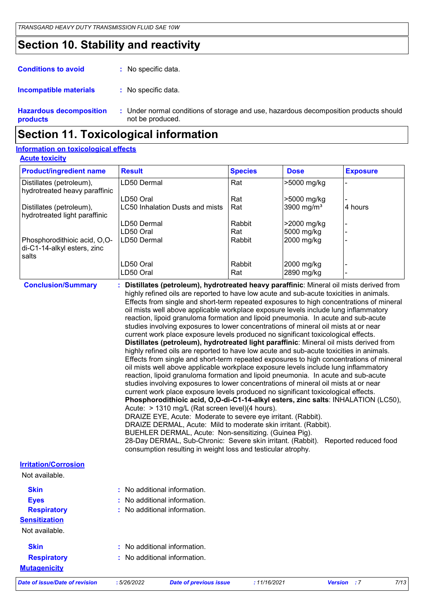### **Section 10. Stability and reactivity**

| <b>Conditions to avoid</b>     | : No specific data.      |
|--------------------------------|--------------------------|
| <b>Incompatible materials</b>  | : No specific data.      |
| <b>Hazardous decomposition</b> | : Under normal condition |

**products** litions of storage and use, hazardous decomposition products should not be produced. **:**

### **Section 11. Toxicological information**

#### **Acute toxicity Information on toxicological effects**

| <b>Product/ingredient name</b>                                       | <b>Result</b>                                                                                                                                                                                                                                                                                                                                                                                                                                              | <b>Species</b> | <b>Dose</b>            | <b>Exposure</b> |
|----------------------------------------------------------------------|------------------------------------------------------------------------------------------------------------------------------------------------------------------------------------------------------------------------------------------------------------------------------------------------------------------------------------------------------------------------------------------------------------------------------------------------------------|----------------|------------------------|-----------------|
| Distillates (petroleum),<br>hydrotreated heavy paraffinic            | LD50 Dermal                                                                                                                                                                                                                                                                                                                                                                                                                                                | Rat            | >5000 mg/kg            |                 |
|                                                                      | LD50 Oral                                                                                                                                                                                                                                                                                                                                                                                                                                                  | Rat            | >5000 mg/kg            |                 |
| Distillates (petroleum),<br>hydrotreated light paraffinic            | LC50 Inhalation Dusts and mists                                                                                                                                                                                                                                                                                                                                                                                                                            | Rat            | 3900 mg/m <sup>3</sup> | 4 hours         |
|                                                                      | LD50 Dermal                                                                                                                                                                                                                                                                                                                                                                                                                                                | Rabbit         | >2000 mg/kg            |                 |
|                                                                      | LD50 Oral                                                                                                                                                                                                                                                                                                                                                                                                                                                  | Rat            | 5000 mg/kg             |                 |
| Phosphorodithioic acid, O,O-<br>di-C1-14-alkyl esters, zinc<br>salts | LD50 Dermal                                                                                                                                                                                                                                                                                                                                                                                                                                                | Rabbit         | 2000 mg/kg             |                 |
|                                                                      | LD50 Oral                                                                                                                                                                                                                                                                                                                                                                                                                                                  | Rabbit         | 2000 mg/kg             |                 |
|                                                                      | LD50 Oral                                                                                                                                                                                                                                                                                                                                                                                                                                                  | Rat            | 2890 mg/kg             |                 |
| <b>Conclusion/Summary</b>                                            | : Distillates (petroleum), hydrotreated heavy paraffinic: Mineral oil mists derived from<br>highly refined oils are reported to have low acute and sub-acute toxicities in animals.<br>Effects from single and short-term repeated exposures to high concentrations of mineral<br>oil mists well above applicable workplace exposure levels include lung inflammatory<br>reaction, lipoid granuloma formation and lipoid pneumonia. In acute and sub-acute |                |                        |                 |

studies involving exposures to lower concentrations of mineral oil mists at or near current work place exposure levels produced no significant toxicological effects. **Distillates (petroleum), hydrotreated light paraffinic**: Mineral oil mists derived from highly refined oils are reported to have low acute and sub-acute toxicities in animals. Effects from single and short-term repeated exposures to high concentrations of mineral oil mists well above applicable workplace exposure levels include lung inflammatory reaction, lipoid granuloma formation and lipoid pneumonia. In acute and sub-acute studies involving exposures to lower concentrations of mineral oil mists at or near current work place exposure levels produced no significant toxicological effects. **Phosphorodithioic acid, O,O-di-C1-14-alkyl esters, zinc salts**: INHALATION (LC50), Acute: > 1310 mg/L (Rat screen level)(4 hours). DRAIZE EYE, Acute: Moderate to severe eye irritant. (Rabbit). DRAIZE DERMAL, Acute: Mild to moderate skin irritant. (Rabbit).

BUEHLER DERMAL, Acute: Non-sensitizing. (Guinea Pig).

28-Day DERMAL, Sub-Chronic: Severe skin irritant. (Rabbit). Reported reduced food consumption resulting in weight loss and testicular atrophy.

| <b>Irritation/Corrosion</b> |                                         |
|-----------------------------|-----------------------------------------|
| Not available.              |                                         |
| <b>Skin</b>                 | $\therefore$ No additional information. |
| <b>Eyes</b>                 | : No additional information.            |
| <b>Respiratory</b>          | : No additional information.            |
| <b>Sensitization</b>        |                                         |

Not available.

- **Mutagenicity Skin Respiratory**
- **:** No additional information.
- **:** No additional information.

*Date of issue/Date of revision* **:** *5/26/2022 Date of previous issue : 11/16/2021 Version : 7 7/13*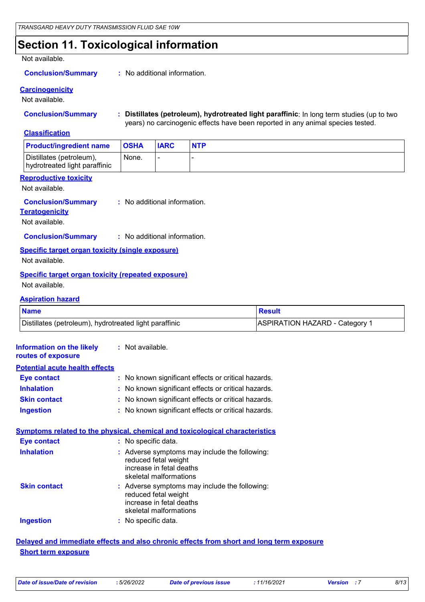### **Section 11. Toxicological information**

#### Not available.

#### **Conclusion/Summary :** No additional information.

#### **Carcinogenicity**

Not available.

**Conclusion/Summary : Distillates (petroleum), hydrotreated light paraffinic**: In long term studies (up to two years) no carcinogenic effects have been reported in any animal species tested.

#### **Classification**

| <b>Product/ingredient name</b>                            | <b>OSHA</b> | <b>IARC</b> | <b>NTP</b> |
|-----------------------------------------------------------|-------------|-------------|------------|
| Distillates (petroleum),<br>hydrotreated light paraffinic | None.       |             |            |

#### **Reproductive toxicity**

Not available.

#### No additional information. **Conclusion/Summary :**

**Teratogenicity**

Not available.

#### **Conclusion/Summary :** No additional information.

**Specific target organ toxicity (single exposure)** Not available.

#### **Specific target organ toxicity (repeated exposure)** Not available.

#### **Aspiration hazard**

| <b>Name</b>                                            | <b>Result</b>                         |
|--------------------------------------------------------|---------------------------------------|
| Distillates (petroleum), hydrotreated light paraffinic | <b>ASPIRATION HAZARD - Category 1</b> |

| <b>Information on the likely : Not available.</b><br>routes of exposure |                                                                                                                               |
|-------------------------------------------------------------------------|-------------------------------------------------------------------------------------------------------------------------------|
| <b>Potential acute health effects</b>                                   |                                                                                                                               |
| <b>Eye contact</b>                                                      | : No known significant effects or critical hazards.                                                                           |
| <b>Inhalation</b>                                                       | : No known significant effects or critical hazards.                                                                           |
| <b>Skin contact</b>                                                     | : No known significant effects or critical hazards.                                                                           |
| <b>Ingestion</b>                                                        | : No known significant effects or critical hazards.                                                                           |
|                                                                         | <b>Symptoms related to the physical, chemical and toxicological characteristics</b>                                           |
| <b>Eye contact</b>                                                      | : No specific data.                                                                                                           |
| <b>Inhalation</b>                                                       | : Adverse symptoms may include the following:<br>reduced fetal weight<br>increase in fetal deaths<br>skeletal malformations   |
| <b>Skin contact</b>                                                     | $:$ Adverse symptoms may include the following:<br>reduced fetal weight<br>increase in fetal deaths<br>skeletal malformations |
| <b>Ingestion</b>                                                        | : No specific data.                                                                                                           |

#### **Delayed and immediate effects and also chronic effects from short and long term exposure Short term exposure**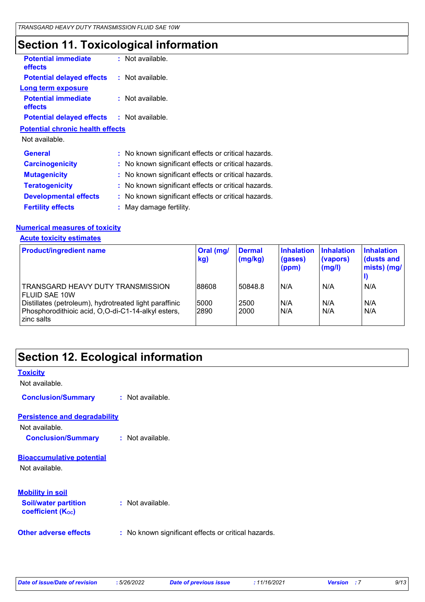## **Section 11. Toxicological information**

| <b>Potential immediate</b><br><b>effects</b>      | $:$ Not available.                                  |  |
|---------------------------------------------------|-----------------------------------------------------|--|
| <b>Potential delayed effects : Not available.</b> |                                                     |  |
| Long term exposure                                |                                                     |  |
| <b>Potential immediate</b><br><b>effects</b>      | : Not available.                                    |  |
| <b>Potential delayed effects : Not available.</b> |                                                     |  |
| <b>Potential chronic health effects</b>           |                                                     |  |
| Not available.                                    |                                                     |  |
| <b>General</b>                                    | : No known significant effects or critical hazards. |  |
| <b>Carcinogenicity</b>                            | : No known significant effects or critical hazards. |  |
| <b>Mutagenicity</b>                               | : No known significant effects or critical hazards. |  |
| <b>Teratogenicity</b>                             | : No known significant effects or critical hazards. |  |
| <b>Developmental effects</b>                      | : No known significant effects or critical hazards. |  |
| <b>Fertility effects</b>                          | : May damage fertility.                             |  |

### **Numerical measures of toxicity**

**Acute toxicity estimates**

| <b>Product/ingredient name</b>                                                                                             | Oral (mg/<br>kg) | <b>Dermal</b><br>(mg/kg) | <b>Inhalation</b><br>(gases)<br>(ppm) | <b>Inhalation</b><br>(vapors)<br>(mg/l) | <b>Inhalation</b><br>dusts and<br>mists) (mg/ |
|----------------------------------------------------------------------------------------------------------------------------|------------------|--------------------------|---------------------------------------|-----------------------------------------|-----------------------------------------------|
| TRANSGARD HEAVY DUTY TRANSMISSION<br><b>FLUID SAE 10W</b>                                                                  | 88608            | 50848.8                  | N/A                                   | N/A                                     | N/A                                           |
| Distillates (petroleum), hydrotreated light paraffinic<br>Phosphorodithioic acid, O,O-di-C1-14-alkyl esters,<br>zinc salts | 5000<br>2890     | 2500<br>2000             | IN/A<br>N/A                           | N/A<br>N/A                              | N/A<br>N/A                                    |

## **Section 12. Ecological information**

| <b>Toxicity</b>                                                                    |                                                     |
|------------------------------------------------------------------------------------|-----------------------------------------------------|
| Not available.                                                                     |                                                     |
| <b>Conclusion/Summary</b>                                                          | : Not available.                                    |
| <b>Persistence and degradability</b>                                               |                                                     |
| Not available.                                                                     |                                                     |
| <b>Conclusion/Summary</b>                                                          | : Not available.                                    |
| <b>Bioaccumulative potential</b><br>Not available.                                 |                                                     |
| <b>Mobility in soil</b><br><b>Soil/water partition</b><br><b>coefficient (Koc)</b> | : Not available.                                    |
| <b>Other adverse effects</b>                                                       | : No known significant effects or critical hazards. |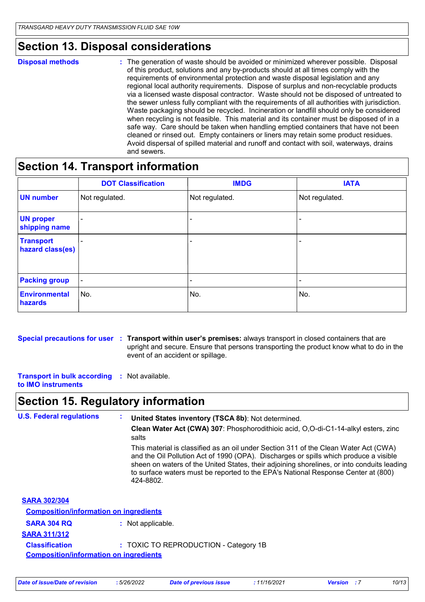### **Section 13. Disposal considerations**

#### **Disposal methods :**

The generation of waste should be avoided or minimized wherever possible. Disposal of this product, solutions and any by-products should at all times comply with the requirements of environmental protection and waste disposal legislation and any regional local authority requirements. Dispose of surplus and non-recyclable products via a licensed waste disposal contractor. Waste should not be disposed of untreated to the sewer unless fully compliant with the requirements of all authorities with jurisdiction. Waste packaging should be recycled. Incineration or landfill should only be considered when recycling is not feasible. This material and its container must be disposed of in a safe way. Care should be taken when handling emptied containers that have not been cleaned or rinsed out. Empty containers or liners may retain some product residues. Avoid dispersal of spilled material and runoff and contact with soil, waterways, drains and sewers.

### **Section 14. Transport information**

|                                      | <b>DOT Classification</b> | <b>IMDG</b>    | <b>IATA</b>              |
|--------------------------------------|---------------------------|----------------|--------------------------|
| <b>UN number</b>                     | Not regulated.            | Not regulated. | Not regulated.           |
| <b>UN proper</b><br>shipping name    |                           |                | ۰                        |
| <b>Transport</b><br>hazard class(es) |                           |                | $\overline{\phantom{0}}$ |
| <b>Packing group</b>                 | ۰                         |                | $\overline{\phantom{a}}$ |
| <b>Environmental</b><br>hazards      | No.                       | No.            | No.                      |

#### **Special precautions for user Transport within user's premises:** always transport in closed containers that are **:** upright and secure. Ensure that persons transporting the product know what to do in the event of an accident or spillage.

**Transport in bulk according :** Not available. **to IMO instruments**

### **Section 15. Regulatory information**

| <b>U.S. Federal regulations</b>               | United States inventory (TSCA 8b): Not determined.                                                                                                                                                                                                                                                                                                                            |  |  |  |
|-----------------------------------------------|-------------------------------------------------------------------------------------------------------------------------------------------------------------------------------------------------------------------------------------------------------------------------------------------------------------------------------------------------------------------------------|--|--|--|
|                                               | Clean Water Act (CWA) 307: Phosphorodithioic acid, O,O-di-C1-14-alkyl esters, zinc<br>salts                                                                                                                                                                                                                                                                                   |  |  |  |
|                                               | This material is classified as an oil under Section 311 of the Clean Water Act (CWA)<br>and the Oil Pollution Act of 1990 (OPA). Discharges or spills which produce a visible<br>sheen on waters of the United States, their adjoining shorelines, or into conduits leading<br>to surface waters must be reported to the EPA's National Response Center at (800)<br>424-8802. |  |  |  |
| <b>SARA 302/304</b>                           |                                                                                                                                                                                                                                                                                                                                                                               |  |  |  |
| <b>Composition/information on ingredients</b> |                                                                                                                                                                                                                                                                                                                                                                               |  |  |  |
| <b>SARA 304 RQ</b>                            | : Not applicable.                                                                                                                                                                                                                                                                                                                                                             |  |  |  |
| <b>SARA 311/312</b>                           |                                                                                                                                                                                                                                                                                                                                                                               |  |  |  |
| <b>Classification</b>                         | : TOXIC TO REPRODUCTION - Category 1B                                                                                                                                                                                                                                                                                                                                         |  |  |  |
| <b>Composition/information on ingredients</b> |                                                                                                                                                                                                                                                                                                                                                                               |  |  |  |
|                                               |                                                                                                                                                                                                                                                                                                                                                                               |  |  |  |

| Date of issue/Date of revision | 5/26/2022 | Date of previous issue | 11/16/2021 | Version | 10/13 |
|--------------------------------|-----------|------------------------|------------|---------|-------|
|--------------------------------|-----------|------------------------|------------|---------|-------|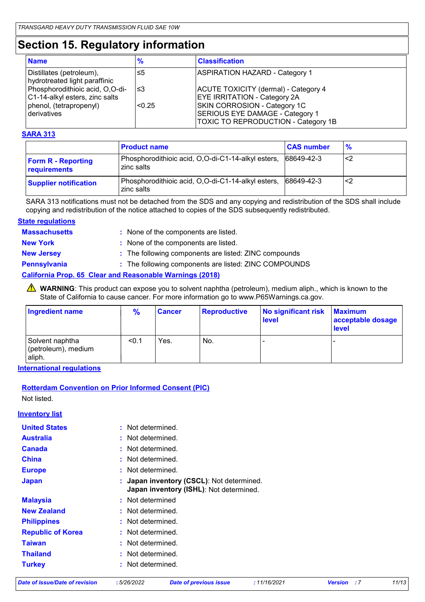## **Section 15. Regulatory information**

| <b>Name</b>                                                       | $\frac{9}{6}$ | <b>Classification</b>                                                                                  |
|-------------------------------------------------------------------|---------------|--------------------------------------------------------------------------------------------------------|
| Distillates (petroleum),<br>hydrotreated light paraffinic         | ≤5            | <b>ASPIRATION HAZARD - Category 1</b>                                                                  |
| Phosphorodithioic acid, O,O-di-<br>C1-14-alkyl esters, zinc salts | צ≥            | <b>ACUTE TOXICITY (dermal) - Category 4</b><br><b>EYE IRRITATION - Category 2A</b>                     |
| phenol, (tetrapropenyl)<br>derivatives                            | < 0.25        | SKIN CORROSION - Category 1C<br>SERIOUS EYE DAMAGE - Category 1<br>TOXIC TO REPRODUCTION - Category 1B |

#### **SARA 313**

|                                           | <b>Product name</b>                                              | <b>CAS number</b> | $\frac{9}{6}$ |
|-------------------------------------------|------------------------------------------------------------------|-------------------|---------------|
| <b>Form R - Reporting</b><br>requirements | Phosphorodithioic acid, O,O-di-C1-14-alkyl esters,<br>zinc salts | 68649-42-3        | ′<2           |
| <b>Supplier notification</b>              | Phosphorodithioic acid, O,O-di-C1-14-alkyl esters,<br>zinc salts | 68649-42-3        | <2            |

SARA 313 notifications must not be detached from the SDS and any copying and redistribution of the SDS shall include copying and redistribution of the notice attached to copies of the SDS subsequently redistributed.

#### **State regulations**

| <b>Massachusetts</b> | : None of the components are listed.                            |
|----------------------|-----------------------------------------------------------------|
| <b>New York</b>      | : None of the components are listed.                            |
| <b>New Jersey</b>    | : The following components are listed: ZINC compounds           |
| <b>Pennsylvania</b>  | : The following components are listed: ZINC COMPOUNDS           |
|                      | <b>California Prop. 65 Clear and Reasonable Warnings (2018)</b> |

WARNING: This product can expose you to solvent naphtha (petroleum), medium aliph., which is known to the State of California to cause cancer. For more information go to www.P65Warnings.ca.gov.

| <b>Ingredient name</b>                           | $\frac{9}{6}$ | <b>Cancer</b> | <b>Reproductive</b> | No significant risk<br><b>level</b> | <b>Maximum</b><br>acceptable dosage<br><b>level</b> |
|--------------------------------------------------|---------------|---------------|---------------------|-------------------------------------|-----------------------------------------------------|
| Solvent naphtha<br>(petroleum), medium<br>aliph. | < 0.1         | Yes.          | No.                 | -                                   |                                                     |

**International regulations**

#### **Rotterdam Convention on Prior Informed Consent (PIC)**

Not listed.

| <u>nventory list</u>     |                                                                                      |
|--------------------------|--------------------------------------------------------------------------------------|
| <b>United States</b>     | : Not determined.                                                                    |
| <b>Australia</b>         | : Not determined.                                                                    |
| <b>Canada</b>            | : Not determined.                                                                    |
| <b>China</b>             | : Not determined.                                                                    |
| <b>Europe</b>            | : Not determined.                                                                    |
| <b>Japan</b>             | : Japan inventory (CSCL): Not determined.<br>Japan inventory (ISHL): Not determined. |
| <b>Malaysia</b>          | : Not determined                                                                     |
| <b>New Zealand</b>       | : Not determined.                                                                    |
| <b>Philippines</b>       | : Not determined.                                                                    |
| <b>Republic of Korea</b> | : Not determined.                                                                    |
| <b>Taiwan</b>            | : Not determined.                                                                    |
| <b>Thailand</b>          | : Not determined.                                                                    |
| <b>Turkey</b>            | : Not determined.                                                                    |

#### *Date of issue/Date of revision* **:** *5/26/2022 Date of previous issue : 11/16/2021 Version : 7 11/13*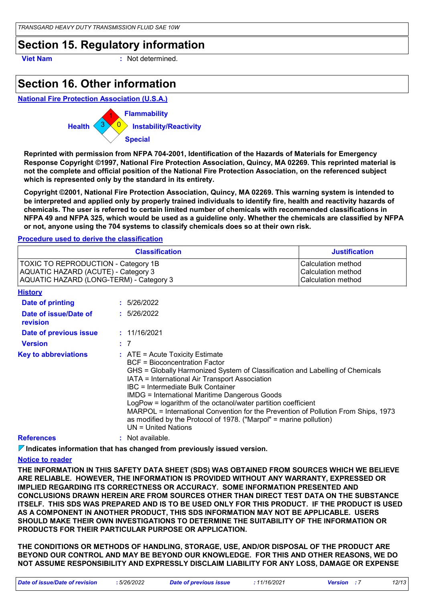### **Section 15. Regulatory information**

**Viet Nam :** Not determined.

### **Section 16. Other information**

**National Fire Protection Association (U.S.A.)**



**Reprinted with permission from NFPA 704-2001, Identification of the Hazards of Materials for Emergency Response Copyright ©1997, National Fire Protection Association, Quincy, MA 02269. This reprinted material is not the complete and official position of the National Fire Protection Association, on the referenced subject which is represented only by the standard in its entirety.**

**Copyright ©2001, National Fire Protection Association, Quincy, MA 02269. This warning system is intended to be interpreted and applied only by properly trained individuals to identify fire, health and reactivity hazards of chemicals. The user is referred to certain limited number of chemicals with recommended classifications in NFPA 49 and NFPA 325, which would be used as a guideline only. Whether the chemicals are classified by NFPA or not, anyone using the 704 systems to classify chemicals does so at their own risk.**

#### **Procedure used to derive the classification**

| <b>Classification</b>                      | <b>Justification</b>      |
|--------------------------------------------|---------------------------|
| <b>TOXIC TO REPRODUCTION - Category 1B</b> | <b>Calculation method</b> |
| AQUATIC HAZARD (ACUTE) - Category 3        | Calculation method        |
| AQUATIC HAZARD (LONG-TERM) - Category 3    | <b>Calculation method</b> |

**History**

| <b>Date of printing</b>           | : 5/26/2022                                                                                                                                                                                                                                                                                                                                                                                                                                                                                                                                                              |
|-----------------------------------|--------------------------------------------------------------------------------------------------------------------------------------------------------------------------------------------------------------------------------------------------------------------------------------------------------------------------------------------------------------------------------------------------------------------------------------------------------------------------------------------------------------------------------------------------------------------------|
| Date of issue/Date of<br>revision | : 5/26/2022                                                                                                                                                                                                                                                                                                                                                                                                                                                                                                                                                              |
| Date of previous issue            | : 11/16/2021                                                                                                                                                                                                                                                                                                                                                                                                                                                                                                                                                             |
| <b>Version</b>                    | : 7                                                                                                                                                                                                                                                                                                                                                                                                                                                                                                                                                                      |
| <b>Key to abbreviations</b>       | $\therefore$ ATE = Acute Toxicity Estimate<br><b>BCF</b> = Bioconcentration Factor<br>GHS = Globally Harmonized System of Classification and Labelling of Chemicals<br>IATA = International Air Transport Association<br>IBC = Intermediate Bulk Container<br><b>IMDG = International Maritime Dangerous Goods</b><br>LogPow = logarithm of the octanol/water partition coefficient<br>MARPOL = International Convention for the Prevention of Pollution From Ships, 1973<br>as modified by the Protocol of 1978. ("Marpol" = marine pollution)<br>$UN = United Nations$ |
| <b>References</b>                 | Not available.                                                                                                                                                                                                                                                                                                                                                                                                                                                                                                                                                           |

#### **Indicates information that has changed from previously issued version.**

#### **Notice to reader**

**THE INFORMATION IN THIS SAFETY DATA SHEET (SDS) WAS OBTAINED FROM SOURCES WHICH WE BELIEVE ARE RELIABLE. HOWEVER, THE INFORMATION IS PROVIDED WITHOUT ANY WARRANTY, EXPRESSED OR IMPLIED REGARDING ITS CORRECTNESS OR ACCURACY. SOME INFORMATION PRESENTED AND CONCLUSIONS DRAWN HEREIN ARE FROM SOURCES OTHER THAN DIRECT TEST DATA ON THE SUBSTANCE ITSELF. THIS SDS WAS PREPARED AND IS TO BE USED ONLY FOR THIS PRODUCT. IF THE PRODUCT IS USED AS A COMPONENT IN ANOTHER PRODUCT, THIS SDS INFORMATION MAY NOT BE APPLICABLE. USERS SHOULD MAKE THEIR OWN INVESTIGATIONS TO DETERMINE THE SUITABILITY OF THE INFORMATION OR PRODUCTS FOR THEIR PARTICULAR PURPOSE OR APPLICATION.**

**THE CONDITIONS OR METHODS OF HANDLING, STORAGE, USE, AND/OR DISPOSAL OF THE PRODUCT ARE BEYOND OUR CONTROL AND MAY BE BEYOND OUR KNOWLEDGE. FOR THIS AND OTHER REASONS, WE DO NOT ASSUME RESPONSIBILITY AND EXPRESSLY DISCLAIM LIABILITY FOR ANY LOSS, DAMAGE OR EXPENSE**